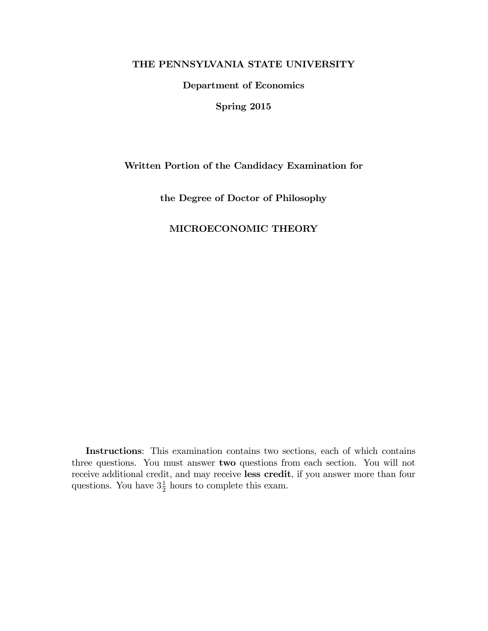## THE PENNSYLVANIA STATE UNIVERSITY

Department of Economics

Spring 2015

### Written Portion of the Candidacy Examination for

the Degree of Doctor of Philosophy

# MICROECONOMIC THEORY

Instructions: This examination contains two sections, each of which contains three questions. You must answer two questions from each section. You will not receive additional credit, and may receive less credit, if you answer more than four questions. You have  $3\frac{1}{2}$  $\frac{1}{2}$  hours to complete this exam.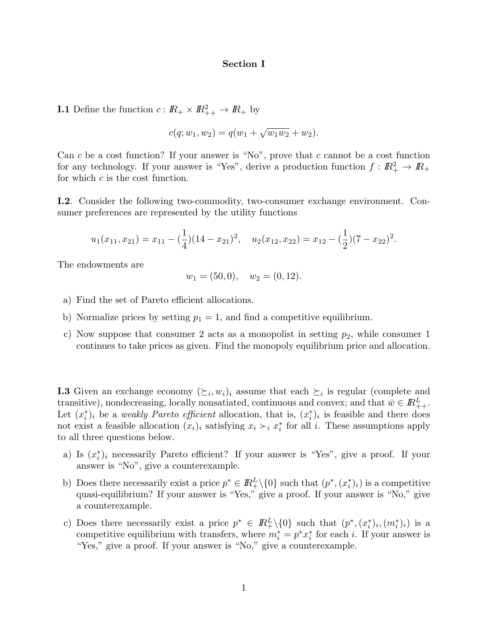### Section I

**I.1** Define the function  $c: \mathbb{R}_+ \times \mathbb{R}^2_{++} \to \mathbb{R}_+$  by

$$
c(q; w_1, w_2) = q(w_1 + \sqrt{w_1 w_2} + w_2).
$$

Can c be a cost function? If your answer is "No", prove that c cannot be a cost function for any technology. If your answer is "Yes", derive a production function  $f: \mathbb{R}_+^2 \to \mathbb{R}_+$ for which  $c$  is the cost function.

I.2. Consider the following two-commodity, two-consumer exchange environment. Consumer preferences are represented by the utility functions

$$
u_1(x_{11}, x_{21}) = x_{11} - (\frac{1}{4})(14 - x_{21})^2
$$
,  $u_2(x_{12}, x_{22}) = x_{12} - (\frac{1}{2})(7 - x_{22})^2$ .

The endowments are

$$
w_1 = (50, 0), \quad w_2 = (0, 12).
$$

- a) Find the set of Pareto efficient allocations.
- b) Normalize prices by setting  $p_1 = 1$ , and find a competitive equilibrium.
- c) Now suppose that consumer 2 acts as a monopolist in setting  $p_2$ , while consumer 1 continues to take prices as given. Find the monopoly equilibrium price and allocation.

**I.3** Given an exchange economy  $(\succeq_i, w_i)_i$  assume that each  $\succeq_i$  is regular (complete and transitive), nondecreasing, locally nonsatiated, continuous and convex; and that  $\bar{w} \in \mathbb{R}^L_{++}$ . Let  $(x_i^*)_i$  be a *weakly Pareto efficient* allocation, that is,  $(x_i^*)_i$  is feasible and there does not exist a feasible allocation  $(x_i)_i$  satisfying  $x_i \succ_i x_i^*$  for all i. These assumptions apply to all three questions below.

- a) Is  $(x_i^*)_i$  necessarily Pareto efficient? If your answer is "Yes", give a proof. If your answer is "No", give a counterexample.
- b) Does there necessarily exist a price  $p^* \in \mathbb{R}^L_+\setminus\{0\}$  such that  $(p^*, (x_i^*)_i)$  is a competitive quasi-equilibrium? If your answer is "Yes," give a proof. If your answer is "No," give a counterexample.
- c) Does there necessarily exist a price  $p^* \in \mathbb{R}_+^L \setminus \{0\}$  such that  $(p^*, (x_i^*)_i, (m_i^*)_i)$  is a competitive equilibrium with transfers, where  $m_i^* = p^* x_i^*$  for each i. If your answer is "Yes," give a proof. If your answer is "No," give a counterexample.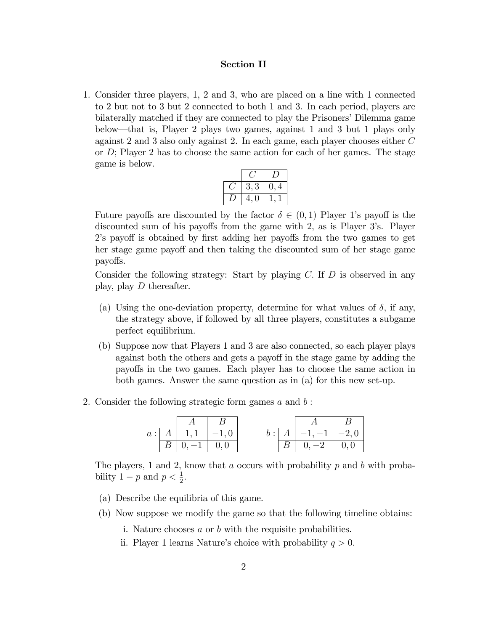### Section II

1. Consider three players, 1, 2 and 3, who are placed on a line with 1 connected to 2 but not to 3 but 2 connected to both 1 and 3. In each period, players are bilaterally matched if they are connected to play the Prisoners' Dilemma game below—that is, Player 2 plays two games, against 1 and 3 but 1 plays only against 2 and 3 also only against 2. In each game, each player chooses either C or  $D$ ; Player 2 has to choose the same action for each of her games. The stage game is below.

| 3, 3    | $\overline{4}$ |  |
|---------|----------------|--|
| O<br>4, |                |  |

Future payoffs are discounted by the factor  $\delta \in (0,1)$  Player 1's payoff is the discounted sum of his payoffs from the game with 2, as is Player 3's. Player 2's payoff is obtained by first adding her payoffs from the two games to get her stage game payoff and then taking the discounted sum of her stage game payo§s.

Consider the following strategy: Start by playing  $C$ . If  $D$  is observed in any play, play D thereafter.

- (a) Using the one-deviation property, determine for what values of  $\delta$ , if any, the strategy above, if followed by all three players, constitutes a subgame perfect equilibrium.
- (b) Suppose now that Players 1 and 3 are also connected, so each player plays against both the others and gets a payoff in the stage game by adding the payo§s in the two games. Each player has to choose the same action in both games. Answer the same question as in (a) for this new set-up.
- 2. Consider the following strategic form games  $a$  and  $b$ :

|  | $a: A \mid 1, 1 \mid -1, 0$    |  | $-1, -1$ $-2, 0$          |  |
|--|--------------------------------|--|---------------------------|--|
|  | $\overline{0.} -1 \,   \, 0.0$ |  | $\overline{0,-2}$   $0,0$ |  |

The players, 1 and 2, know that a occurs with probability  $p$  and  $b$  with probability  $1 - p$  and  $p < \frac{1}{2}$ .

- (a) Describe the equilibria of this game.
- (b) Now suppose we modify the game so that the following timeline obtains:
	- i. Nature chooses a or b with the requisite probabilities.
	- ii. Player 1 learns Nature's choice with probability  $q > 0$ .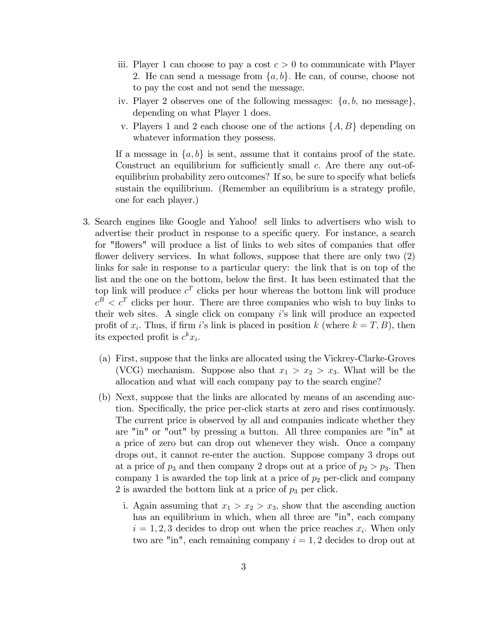- iii. Player 1 can choose to pay a cost  $c > 0$  to communicate with Player 2. He can send a message from  $\{a, b\}$ . He can, of course, choose not to pay the cost and not send the message.
- iv. Player 2 observes one of the following messages:  $\{a, b, \text{ no message}\},\$ depending on what Player 1 does.
- v. Players 1 and 2 each choose one of the actions  $\{A, B\}$  depending on whatever information they possess.

If a message in  $\{a, b\}$  is sent, assume that it contains proof of the state. Construct an equilibrium for sufficiently small  $c$ . Are there any out-ofequilibriun probability zero outcomes? If so, be sure to specify what beliefs sustain the equilibrium. (Remember an equilibrium is a strategy profile, one for each player.)

- 3. Search engines like Google and Yahoo! sell links to advertisers who wish to advertise their product in response to a specific query. For instance, a search for "flowers" will produce a list of links to web sites of companies that offer flower delivery services. In what follows, suppose that there are only two  $(2)$ links for sale in response to a particular query: the link that is on top of the list and the one on the bottom, below the first. It has been estimated that the top link will produce  $c^T$  clicks per hour whereas the bottom link will produce  $c^B < c^T$  clicks per hour. There are three companies who wish to buy links to their web sites. A single click on company  $i$ 's link will produce an expected profit of  $x_i$ . Thus, if firm i's link is placed in position k (where  $k = T, B$ ), then its expected profit is  $c^k x_i$ .
	- (a) First, suppose that the links are allocated using the Vickrey-Clarke-Groves (VCG) mechanism. Suppose also that  $x_1 > x_2 > x_3$ . What will be the allocation and what will each company pay to the search engine?
	- (b) Next, suppose that the links are allocated by means of an ascending auction. Specifically, the price per-click starts at zero and rises continuously. The current price is observed by all and companies indicate whether they are "in" or "out" by pressing a button. All three companies are "in" at a price of zero but can drop out whenever they wish. Once a company drops out, it cannot re-enter the auction. Suppose company 3 drops out at a price of  $p_3$  and then company 2 drops out at a price of  $p_2 > p_3$ . Then company 1 is awarded the top link at a price of  $p_2$  per-click and company 2 is awarded the bottom link at a price of  $p_3$  per click.
		- i. Again assuming that  $x_1 > x_2 > x_3$ , show that the ascending auction has an equilibrium in which, when all three are "in", each company  $i = 1, 2, 3$  decides to drop out when the price reaches  $x_i$ . When only two are "in", each remaining company  $i = 1, 2$  decides to drop out at